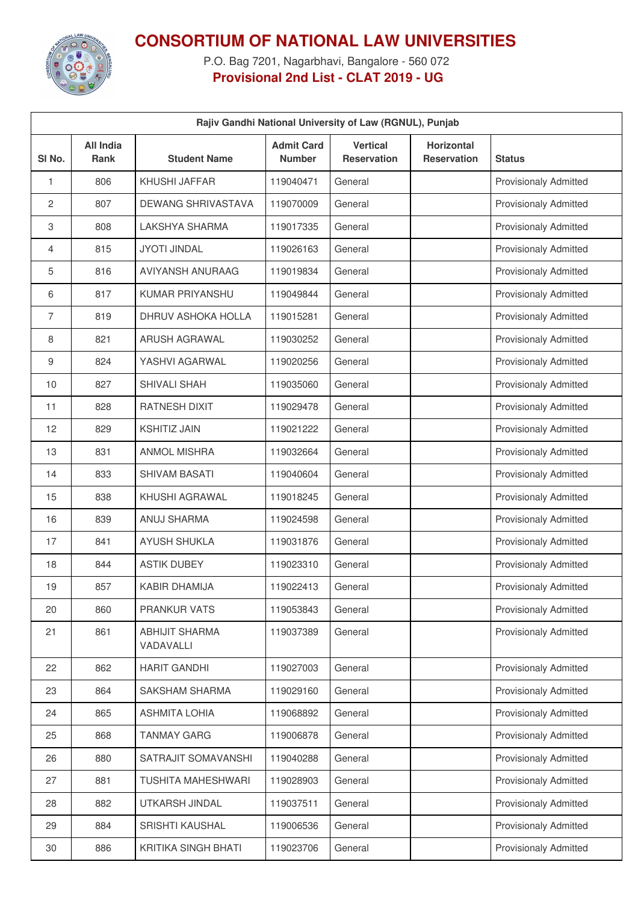

## **CONSORTIUM OF NATIONAL LAW UNIVERSITIES**

P.O. Bag 7201, Nagarbhavi, Bangalore - 560 072 **Provisional 2nd List - CLAT 2019 - UG**

| Rajiv Gandhi National University of Law (RGNUL), Punjab |                                 |                                    |                                    |                                       |                                         |                              |  |
|---------------------------------------------------------|---------------------------------|------------------------------------|------------------------------------|---------------------------------------|-----------------------------------------|------------------------------|--|
| SI No.                                                  | <b>All India</b><br><b>Rank</b> | <b>Student Name</b>                | <b>Admit Card</b><br><b>Number</b> | <b>Vertical</b><br><b>Reservation</b> | <b>Horizontal</b><br><b>Reservation</b> | <b>Status</b>                |  |
| 1                                                       | 806                             | KHUSHI JAFFAR                      | 119040471                          | General                               |                                         | <b>Provisionaly Admitted</b> |  |
| 2                                                       | 807                             | <b>DEWANG SHRIVASTAVA</b>          | 119070009                          | General                               |                                         | <b>Provisionaly Admitted</b> |  |
| 3                                                       | 808                             | LAKSHYA SHARMA                     | 119017335                          | General                               |                                         | <b>Provisionaly Admitted</b> |  |
| 4                                                       | 815                             | <b>JYOTI JINDAL</b>                | 119026163                          | General                               |                                         | <b>Provisionaly Admitted</b> |  |
| 5                                                       | 816                             | AVIYANSH ANURAAG                   | 119019834                          | General                               |                                         | <b>Provisionaly Admitted</b> |  |
| 6                                                       | 817                             | <b>KUMAR PRIYANSHU</b>             | 119049844                          | General                               |                                         | <b>Provisionaly Admitted</b> |  |
| 7                                                       | 819                             | DHRUV ASHOKA HOLLA                 | 119015281                          | General                               |                                         | <b>Provisionaly Admitted</b> |  |
| 8                                                       | 821                             | <b>ARUSH AGRAWAL</b>               | 119030252                          | General                               |                                         | <b>Provisionaly Admitted</b> |  |
| 9                                                       | 824                             | YASHVI AGARWAL                     | 119020256                          | General                               |                                         | <b>Provisionaly Admitted</b> |  |
| 10                                                      | 827                             | SHIVALI SHAH                       | 119035060                          | General                               |                                         | <b>Provisionaly Admitted</b> |  |
| 11                                                      | 828                             | <b>RATNESH DIXIT</b>               | 119029478                          | General                               |                                         | <b>Provisionaly Admitted</b> |  |
| 12                                                      | 829                             | <b>KSHITIZ JAIN</b>                | 119021222                          | General                               |                                         | <b>Provisionaly Admitted</b> |  |
| 13                                                      | 831                             | <b>ANMOL MISHRA</b>                | 119032664                          | General                               |                                         | <b>Provisionaly Admitted</b> |  |
| 14                                                      | 833                             | <b>SHIVAM BASATI</b>               | 119040604                          | General                               |                                         | <b>Provisionaly Admitted</b> |  |
| 15                                                      | 838                             | KHUSHI AGRAWAL                     | 119018245                          | General                               |                                         | <b>Provisionaly Admitted</b> |  |
| 16                                                      | 839                             | ANUJ SHARMA                        | 119024598                          | General                               |                                         | <b>Provisionaly Admitted</b> |  |
| 17                                                      | 841                             | <b>AYUSH SHUKLA</b>                | 119031876                          | General                               |                                         | <b>Provisionaly Admitted</b> |  |
| 18                                                      | 844                             | <b>ASTIK DUBEY</b>                 | 119023310                          | General                               |                                         | <b>Provisionaly Admitted</b> |  |
| 19                                                      | 857                             | <b>KABIR DHAMIJA</b>               | 119022413                          | General                               |                                         | <b>Provisionaly Admitted</b> |  |
| 20                                                      | 860                             | PRANKUR VATS                       | 119053843                          | General                               |                                         | <b>Provisionaly Admitted</b> |  |
| 21                                                      | 861                             | <b>ABHIJIT SHARMA</b><br>VADAVALLI | 119037389                          | General                               |                                         | <b>Provisionaly Admitted</b> |  |
| 22                                                      | 862                             | <b>HARIT GANDHI</b>                | 119027003                          | General                               |                                         | <b>Provisionaly Admitted</b> |  |
| 23                                                      | 864                             | SAKSHAM SHARMA                     | 119029160                          | General                               |                                         | <b>Provisionaly Admitted</b> |  |
| 24                                                      | 865                             | <b>ASHMITA LOHIA</b>               | 119068892                          | General                               |                                         | <b>Provisionaly Admitted</b> |  |
| 25                                                      | 868                             | <b>TANMAY GARG</b>                 | 119006878                          | General                               |                                         | <b>Provisionaly Admitted</b> |  |
| 26                                                      | 880                             | SATRAJIT SOMAVANSHI                | 119040288                          | General                               |                                         | <b>Provisionaly Admitted</b> |  |
| 27                                                      | 881                             | <b>TUSHITA MAHESHWARI</b>          | 119028903                          | General                               |                                         | Provisionaly Admitted        |  |
| 28                                                      | 882                             | UTKARSH JINDAL                     | 119037511                          | General                               |                                         | <b>Provisionaly Admitted</b> |  |
| 29                                                      | 884                             | SRISHTI KAUSHAL                    | 119006536                          | General                               |                                         | <b>Provisionaly Admitted</b> |  |
| 30                                                      | 886                             | <b>KRITIKA SINGH BHATI</b>         | 119023706                          | General                               |                                         | <b>Provisionaly Admitted</b> |  |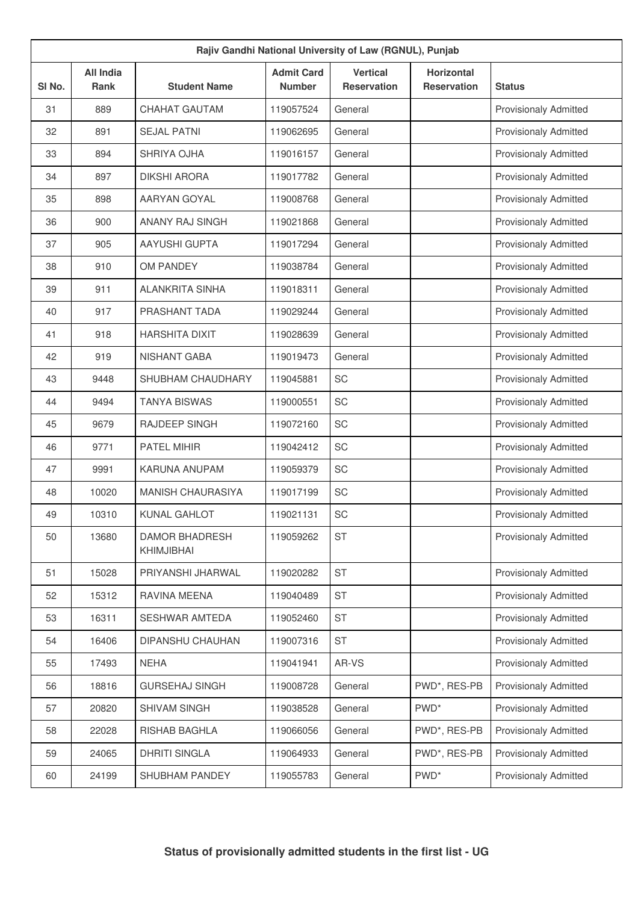| Rajiv Gandhi National University of Law (RGNUL), Punjab |                          |                                            |                                    |                                       |                                         |                              |  |
|---------------------------------------------------------|--------------------------|--------------------------------------------|------------------------------------|---------------------------------------|-----------------------------------------|------------------------------|--|
| SI <sub>No.</sub>                                       | <b>All India</b><br>Rank | <b>Student Name</b>                        | <b>Admit Card</b><br><b>Number</b> | <b>Vertical</b><br><b>Reservation</b> | <b>Horizontal</b><br><b>Reservation</b> | <b>Status</b>                |  |
| 31                                                      | 889                      | <b>CHAHAT GAUTAM</b>                       | 119057524                          | General                               |                                         | <b>Provisionaly Admitted</b> |  |
| 32                                                      | 891                      | <b>SEJAL PATNI</b>                         | 119062695                          | General                               |                                         | <b>Provisionaly Admitted</b> |  |
| 33                                                      | 894                      | SHRIYA OJHA                                | 119016157                          | General                               |                                         | <b>Provisionaly Admitted</b> |  |
| 34                                                      | 897                      | <b>DIKSHI ARORA</b>                        | 119017782                          | General                               |                                         | <b>Provisionaly Admitted</b> |  |
| 35                                                      | 898                      | AARYAN GOYAL                               | 119008768                          | General                               |                                         | <b>Provisionaly Admitted</b> |  |
| 36                                                      | 900                      | <b>ANANY RAJ SINGH</b>                     | 119021868                          | General                               |                                         | <b>Provisionaly Admitted</b> |  |
| 37                                                      | 905                      | <b>AAYUSHI GUPTA</b>                       | 119017294                          | General                               |                                         | <b>Provisionaly Admitted</b> |  |
| 38                                                      | 910                      | OM PANDEY                                  | 119038784                          | General                               |                                         | <b>Provisionaly Admitted</b> |  |
| 39                                                      | 911                      | <b>ALANKRITA SINHA</b>                     | 119018311                          | General                               |                                         | <b>Provisionaly Admitted</b> |  |
| 40                                                      | 917                      | PRASHANT TADA                              | 119029244                          | General                               |                                         | <b>Provisionaly Admitted</b> |  |
| 41                                                      | 918                      | <b>HARSHITA DIXIT</b>                      | 119028639                          | General                               |                                         | <b>Provisionaly Admitted</b> |  |
| 42                                                      | 919                      | <b>NISHANT GABA</b>                        | 119019473                          | General                               |                                         | <b>Provisionaly Admitted</b> |  |
| 43                                                      | 9448                     | SHUBHAM CHAUDHARY                          | 119045881                          | SC                                    |                                         | <b>Provisionaly Admitted</b> |  |
| 44                                                      | 9494                     | <b>TANYA BISWAS</b>                        | 119000551                          | <b>SC</b>                             |                                         | <b>Provisionaly Admitted</b> |  |
| 45                                                      | 9679                     | <b>RAJDEEP SINGH</b>                       | 119072160                          | SC                                    |                                         | <b>Provisionaly Admitted</b> |  |
| 46                                                      | 9771                     | <b>PATEL MIHIR</b>                         | 119042412                          | SC                                    |                                         | <b>Provisionaly Admitted</b> |  |
| 47                                                      | 9991                     | <b>KARUNA ANUPAM</b>                       | 119059379                          | SC                                    |                                         | <b>Provisionaly Admitted</b> |  |
| 48                                                      | 10020                    | <b>MANISH CHAURASIYA</b>                   | 119017199                          | SC                                    |                                         | <b>Provisionaly Admitted</b> |  |
| 49                                                      | 10310                    | <b>KUNAL GAHLOT</b>                        | 119021131                          | SC                                    |                                         | <b>Provisionaly Admitted</b> |  |
| 50                                                      | 13680                    | <b>DAMOR BHADRESH</b><br><b>KHIMJIBHAI</b> | 119059262                          | <b>ST</b>                             |                                         | <b>Provisionaly Admitted</b> |  |
| 51                                                      | 15028                    | PRIYANSHI JHARWAL                          | 119020282                          | <b>ST</b>                             |                                         | <b>Provisionaly Admitted</b> |  |
| 52                                                      | 15312                    | RAVINA MEENA                               | 119040489                          | <b>ST</b>                             |                                         | <b>Provisionaly Admitted</b> |  |
| 53                                                      | 16311                    | SESHWAR AMTEDA                             | 119052460                          | <b>ST</b>                             |                                         | <b>Provisionaly Admitted</b> |  |
| 54                                                      | 16406                    | DIPANSHU CHAUHAN                           | 119007316                          | <b>ST</b>                             |                                         | <b>Provisionaly Admitted</b> |  |
| 55                                                      | 17493                    | <b>NEHA</b>                                | 119041941                          | AR-VS                                 |                                         | <b>Provisionaly Admitted</b> |  |
| 56                                                      | 18816                    | <b>GURSEHAJ SINGH</b>                      | 119008728                          | General                               | PWD*, RES-PB                            | <b>Provisionaly Admitted</b> |  |
| 57                                                      | 20820                    | SHIVAM SINGH                               | 119038528                          | General                               | PWD <sup>*</sup>                        | Provisionaly Admitted        |  |
| 58                                                      | 22028                    | RISHAB BAGHLA                              | 119066056                          | General                               | PWD*, RES-PB                            | <b>Provisionaly Admitted</b> |  |
| 59                                                      | 24065                    | <b>DHRITI SINGLA</b>                       | 119064933                          | General                               | PWD*, RES-PB                            | Provisionaly Admitted        |  |
| 60                                                      | 24199                    | SHUBHAM PANDEY                             | 119055783                          | General                               | PWD <sup>*</sup>                        | Provisionaly Admitted        |  |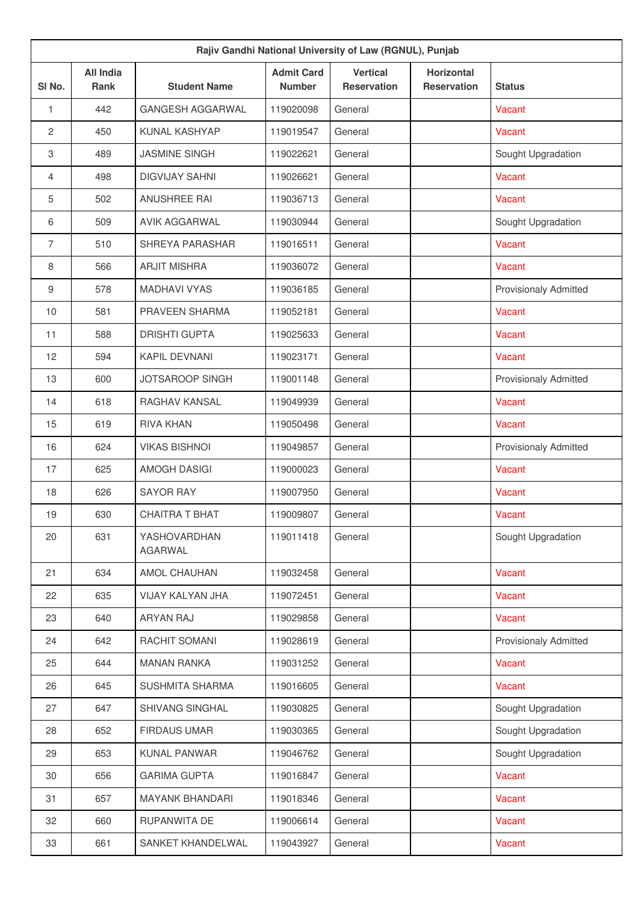|                | Rajiv Gandhi National University of Law (RGNUL), Punjab |                         |                                    |                                       |                                         |                              |  |  |  |
|----------------|---------------------------------------------------------|-------------------------|------------------------------------|---------------------------------------|-----------------------------------------|------------------------------|--|--|--|
| SI No.         | <b>All India</b><br><b>Rank</b>                         | <b>Student Name</b>     | <b>Admit Card</b><br><b>Number</b> | <b>Vertical</b><br><b>Reservation</b> | <b>Horizontal</b><br><b>Reservation</b> | <b>Status</b>                |  |  |  |
| $\mathbf{1}$   | 442                                                     | <b>GANGESH AGGARWAL</b> | 119020098                          | General                               |                                         | Vacant                       |  |  |  |
| 2              | 450                                                     | KUNAL KASHYAP           | 119019547                          | General                               |                                         | Vacant                       |  |  |  |
| $\,3$          | 489                                                     | <b>JASMINE SINGH</b>    | 119022621                          | General                               |                                         | Sought Upgradation           |  |  |  |
| 4              | 498                                                     | <b>DIGVIJAY SAHNI</b>   | 119026621                          | General                               |                                         | Vacant                       |  |  |  |
| 5              | 502                                                     | <b>ANUSHREE RAI</b>     | 119036713                          | General                               |                                         | Vacant                       |  |  |  |
| 6              | 509                                                     | <b>AVIK AGGARWAL</b>    | 119030944                          | General                               |                                         | Sought Upgradation           |  |  |  |
| $\overline{7}$ | 510                                                     | SHREYA PARASHAR         | 119016511                          | General                               |                                         | Vacant                       |  |  |  |
| 8              | 566                                                     | <b>ARJIT MISHRA</b>     | 119036072                          | General                               |                                         | Vacant                       |  |  |  |
| 9              | 578                                                     | <b>MADHAVI VYAS</b>     | 119036185                          | General                               |                                         | <b>Provisionaly Admitted</b> |  |  |  |
| 10             | 581                                                     | PRAVEEN SHARMA          | 119052181                          | General                               |                                         | Vacant                       |  |  |  |
| 11             | 588                                                     | <b>DRISHTI GUPTA</b>    | 119025633                          | General                               |                                         | <b>Vacant</b>                |  |  |  |
| 12             | 594                                                     | <b>KAPIL DEVNANI</b>    | 119023171                          | General                               |                                         | Vacant                       |  |  |  |
| 13             | 600                                                     | <b>JOTSAROOP SINGH</b>  | 119001148                          | General                               |                                         | <b>Provisionaly Admitted</b> |  |  |  |
| 14             | 618                                                     | RAGHAV KANSAL           | 119049939                          | General                               |                                         | Vacant                       |  |  |  |
| 15             | 619                                                     | <b>RIVA KHAN</b>        | 119050498                          | General                               |                                         | Vacant                       |  |  |  |
| 16             | 624                                                     | <b>VIKAS BISHNOI</b>    | 119049857                          | General                               |                                         | Provisionaly Admitted        |  |  |  |
| 17             | 625                                                     | <b>AMOGH DASIGI</b>     | 119000023                          | General                               |                                         | Vacant                       |  |  |  |
| 18             | 626                                                     | <b>SAYOR RAY</b>        | 119007950                          | General                               |                                         | Vacant                       |  |  |  |
| 19             | 630                                                     | <b>CHAITRA T BHAT</b>   | 119009807                          | General                               |                                         | Vacant                       |  |  |  |
| 20             | 631                                                     | YASHOVARDHAN<br>AGARWAL | 119011418                          | General                               |                                         | Sought Upgradation           |  |  |  |
| 21             | 634                                                     | <b>AMOL CHAUHAN</b>     | 119032458                          | General                               |                                         | Vacant                       |  |  |  |
| 22             | 635                                                     | VIJAY KALYAN JHA        | 119072451                          | General                               |                                         | Vacant                       |  |  |  |
| 23             | 640                                                     | <b>ARYAN RAJ</b>        | 119029858                          | General                               |                                         | Vacant                       |  |  |  |
| 24             | 642                                                     | RACHIT SOMANI           | 119028619                          | General                               |                                         | <b>Provisionaly Admitted</b> |  |  |  |
| 25             | 644                                                     | <b>MANAN RANKA</b>      | 119031252                          | General                               |                                         | Vacant                       |  |  |  |
| 26             | 645                                                     | <b>SUSHMITA SHARMA</b>  | 119016605                          | General                               |                                         | Vacant                       |  |  |  |
| 27             | 647                                                     | SHIVANG SINGHAL         | 119030825                          | General                               |                                         | Sought Upgradation           |  |  |  |
| 28             | 652                                                     | <b>FIRDAUS UMAR</b>     | 119030365                          | General                               |                                         | Sought Upgradation           |  |  |  |
| 29             | 653                                                     | <b>KUNAL PANWAR</b>     | 119046762                          | General                               |                                         | Sought Upgradation           |  |  |  |
| 30             | 656                                                     | <b>GARIMA GUPTA</b>     | 119016847                          | General                               |                                         | Vacant                       |  |  |  |
| 31             | 657                                                     | <b>MAYANK BHANDARI</b>  | 119018346                          | General                               |                                         | Vacant                       |  |  |  |
| 32             | 660                                                     | RUPANWITA DE            | 119006614                          | General                               |                                         | Vacant                       |  |  |  |
| 33             | 661                                                     | SANKET KHANDELWAL       | 119043927                          | General                               |                                         | Vacant                       |  |  |  |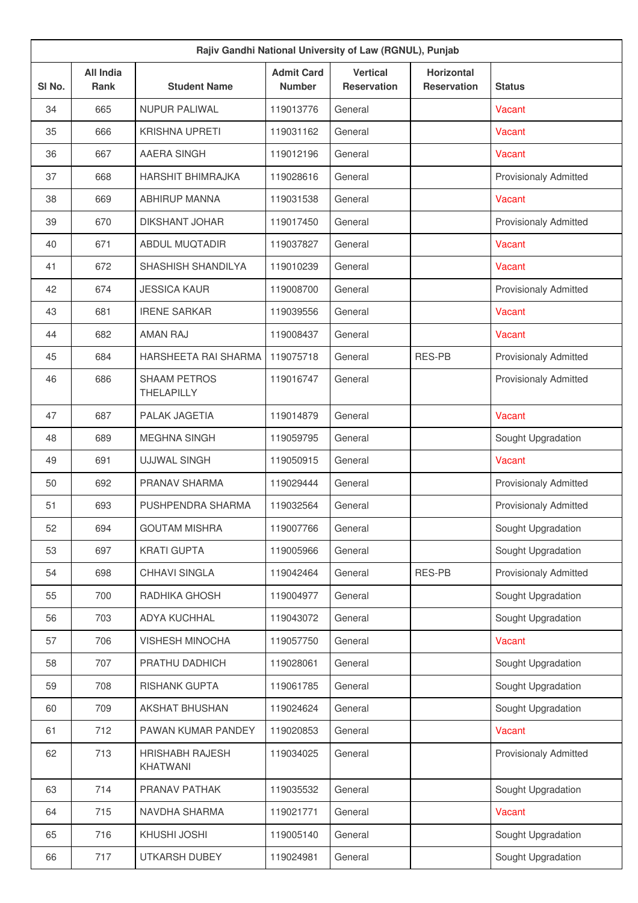| Rajiv Gandhi National University of Law (RGNUL), Punjab |                                 |                                           |                                    |                                       |                                         |                              |  |
|---------------------------------------------------------|---------------------------------|-------------------------------------------|------------------------------------|---------------------------------------|-----------------------------------------|------------------------------|--|
| SI <sub>No.</sub>                                       | <b>All India</b><br><b>Rank</b> | <b>Student Name</b>                       | <b>Admit Card</b><br><b>Number</b> | <b>Vertical</b><br><b>Reservation</b> | <b>Horizontal</b><br><b>Reservation</b> | <b>Status</b>                |  |
| 34                                                      | 665                             | <b>NUPUR PALIWAL</b>                      | 119013776                          | General                               |                                         | Vacant                       |  |
| 35                                                      | 666                             | <b>KRISHNA UPRETI</b>                     | 119031162                          | General                               |                                         | Vacant                       |  |
| 36                                                      | 667                             | <b>AAERA SINGH</b>                        | 119012196                          | General                               |                                         | Vacant                       |  |
| 37                                                      | 668                             | <b>HARSHIT BHIMRAJKA</b>                  | 119028616                          | General                               |                                         | <b>Provisionaly Admitted</b> |  |
| 38                                                      | 669                             | <b>ABHIRUP MANNA</b>                      | 119031538                          | General                               |                                         | Vacant                       |  |
| 39                                                      | 670                             | <b>DIKSHANT JOHAR</b>                     | 119017450                          | General                               |                                         | <b>Provisionaly Admitted</b> |  |
| 40                                                      | 671                             | <b>ABDUL MUQTADIR</b>                     | 119037827                          | General                               |                                         | Vacant                       |  |
| 41                                                      | 672                             | SHASHISH SHANDILYA                        | 119010239                          | General                               |                                         | Vacant                       |  |
| 42                                                      | 674                             | <b>JESSICA KAUR</b>                       | 119008700                          | General                               |                                         | <b>Provisionaly Admitted</b> |  |
| 43                                                      | 681                             | <b>IRENE SARKAR</b>                       | 119039556                          | General                               |                                         | Vacant                       |  |
| 44                                                      | 682                             | <b>AMAN RAJ</b>                           | 119008437                          | General                               |                                         | Vacant                       |  |
| 45                                                      | 684                             | <b>HARSHEETA RAI SHARMA</b>               | 119075718                          | General                               | <b>RES-PB</b>                           | <b>Provisionaly Admitted</b> |  |
| 46                                                      | 686                             | <b>SHAAM PETROS</b><br><b>THELAPILLY</b>  | 119016747                          | General                               |                                         | <b>Provisionaly Admitted</b> |  |
| 47                                                      | 687                             | PALAK JAGETIA                             | 119014879                          | General                               |                                         | Vacant                       |  |
| 48                                                      | 689                             | <b>MEGHNA SINGH</b>                       | 119059795                          | General                               |                                         | Sought Upgradation           |  |
| 49                                                      | 691                             | <b>UJJWAL SINGH</b>                       | 119050915                          | General                               |                                         | Vacant                       |  |
| 50                                                      | 692                             | PRANAV SHARMA                             | 119029444                          | General                               |                                         | <b>Provisionaly Admitted</b> |  |
| 51                                                      | 693                             | PUSHPENDRA SHARMA                         | 119032564                          | General                               |                                         | <b>Provisionaly Admitted</b> |  |
| 52                                                      | 694                             | <b>GOUTAM MISHRA</b>                      | 119007766                          | General                               |                                         | Sought Upgradation           |  |
| 53                                                      | 697                             | <b>KRATI GUPTA</b>                        | 119005966                          | General                               |                                         | Sought Upgradation           |  |
| 54                                                      | 698                             | CHHAVI SINGLA                             | 119042464                          | General                               | RES-PB                                  | Provisionaly Admitted        |  |
| 55                                                      | 700                             | RADHIKA GHOSH                             | 119004977                          | General                               |                                         | Sought Upgradation           |  |
| 56                                                      | 703                             | <b>ADYA KUCHHAL</b>                       | 119043072                          | General                               |                                         | Sought Upgradation           |  |
| 57                                                      | 706                             | <b>VISHESH MINOCHA</b>                    | 119057750                          | General                               |                                         | Vacant                       |  |
| 58                                                      | 707                             | PRATHU DADHICH                            | 119028061                          | General                               |                                         | Sought Upgradation           |  |
| 59                                                      | 708                             | <b>RISHANK GUPTA</b>                      | 119061785                          | General                               |                                         | Sought Upgradation           |  |
| 60                                                      | 709                             | AKSHAT BHUSHAN                            | 119024624                          | General                               |                                         | Sought Upgradation           |  |
| 61                                                      | 712                             | PAWAN KUMAR PANDEY                        | 119020853                          | General                               |                                         | Vacant                       |  |
| 62                                                      | 713                             | <b>HRISHABH RAJESH</b><br><b>KHATWANI</b> | 119034025                          | General                               |                                         | <b>Provisionaly Admitted</b> |  |
| 63                                                      | 714                             | PRANAV PATHAK                             | 119035532                          | General                               |                                         | Sought Upgradation           |  |
| 64                                                      | 715                             | NAVDHA SHARMA                             | 119021771                          | General                               |                                         | Vacant                       |  |
| 65                                                      | 716                             | KHUSHI JOSHI                              | 119005140                          | General                               |                                         | Sought Upgradation           |  |
| 66                                                      | 717                             | UTKARSH DUBEY                             | 119024981                          | General                               |                                         | Sought Upgradation           |  |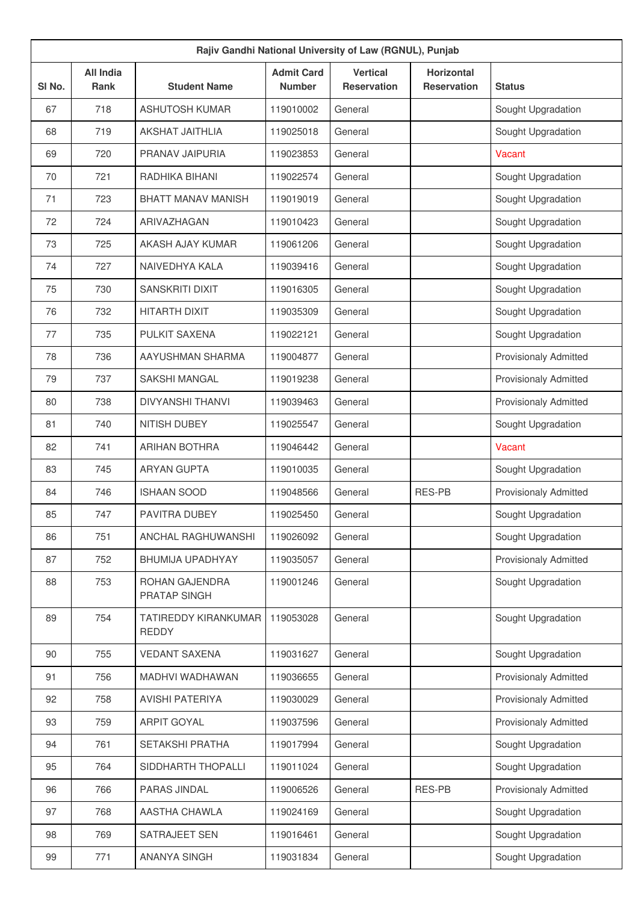| Rajiv Gandhi National University of Law (RGNUL), Punjab |                          |                                      |                                    |                                       |                                  |                              |  |  |
|---------------------------------------------------------|--------------------------|--------------------------------------|------------------------------------|---------------------------------------|----------------------------------|------------------------------|--|--|
| SI <sub>No.</sub>                                       | <b>All India</b><br>Rank | <b>Student Name</b>                  | <b>Admit Card</b><br><b>Number</b> | <b>Vertical</b><br><b>Reservation</b> | Horizontal<br><b>Reservation</b> | <b>Status</b>                |  |  |
| 67                                                      | 718                      | <b>ASHUTOSH KUMAR</b>                | 119010002                          | General                               |                                  | Sought Upgradation           |  |  |
| 68                                                      | 719                      | <b>AKSHAT JAITHLIA</b>               | 119025018                          | General                               |                                  | Sought Upgradation           |  |  |
| 69                                                      | 720                      | PRANAV JAIPURIA                      | 119023853                          | General                               |                                  | Vacant                       |  |  |
| 70                                                      | 721                      | RADHIKA BIHANI                       | 119022574                          | General                               |                                  | Sought Upgradation           |  |  |
| 71                                                      | 723                      | <b>BHATT MANAV MANISH</b>            | 119019019                          | General                               |                                  | Sought Upgradation           |  |  |
| 72                                                      | 724                      | ARIVAZHAGAN                          | 119010423                          | General                               |                                  | Sought Upgradation           |  |  |
| 73                                                      | 725                      | AKASH AJAY KUMAR                     | 119061206                          | General                               |                                  | Sought Upgradation           |  |  |
| 74                                                      | 727                      | NAIVEDHYA KALA                       | 119039416                          | General                               |                                  | Sought Upgradation           |  |  |
| 75                                                      | 730                      | <b>SANSKRITI DIXIT</b>               | 119016305                          | General                               |                                  | Sought Upgradation           |  |  |
| 76                                                      | 732                      | HITARTH DIXIT                        | 119035309                          | General                               |                                  | Sought Upgradation           |  |  |
| 77                                                      | 735                      | PULKIT SAXENA                        | 119022121                          | General                               |                                  | Sought Upgradation           |  |  |
| 78                                                      | 736                      | AAYUSHMAN SHARMA                     | 119004877                          | General                               |                                  | <b>Provisionaly Admitted</b> |  |  |
| 79                                                      | 737                      | <b>SAKSHI MANGAL</b>                 | 119019238                          | General                               |                                  | <b>Provisionaly Admitted</b> |  |  |
| 80                                                      | 738                      | <b>DIVYANSHI THANVI</b>              | 119039463                          | General                               |                                  | Provisionaly Admitted        |  |  |
| 81                                                      | 740                      | NITISH DUBEY                         | 119025547                          | General                               |                                  | Sought Upgradation           |  |  |
| 82                                                      | 741                      | <b>ARIHAN BOTHRA</b>                 | 119046442                          | General                               |                                  | Vacant                       |  |  |
| 83                                                      | 745                      | <b>ARYAN GUPTA</b>                   | 119010035                          | General                               |                                  | Sought Upgradation           |  |  |
| 84                                                      | 746                      | <b>ISHAAN SOOD</b>                   | 119048566                          | General                               | <b>RES-PB</b>                    | Provisionaly Admitted        |  |  |
| 85                                                      | 747                      | <b>PAVITRA DUBEY</b>                 | 119025450                          | General                               |                                  | Sought Upgradation           |  |  |
| 86                                                      | 751                      | ANCHAL RAGHUWANSHI                   | 119026092                          | General                               |                                  | Sought Upgradation           |  |  |
| 87                                                      | 752                      | BHUMIJA UPADHYAY                     | 119035057                          | General                               |                                  | <b>Provisionaly Admitted</b> |  |  |
| 88                                                      | 753                      | ROHAN GAJENDRA<br>PRATAP SINGH       | 119001246                          | General                               |                                  | Sought Upgradation           |  |  |
| 89                                                      | 754                      | TATIREDDY KIRANKUMAR<br><b>REDDY</b> | 119053028                          | General                               |                                  | Sought Upgradation           |  |  |
| 90                                                      | 755                      | <b>VEDANT SAXENA</b>                 | 119031627                          | General                               |                                  | Sought Upgradation           |  |  |
| 91                                                      | 756                      | MADHVI WADHAWAN                      | 119036655                          | General                               |                                  | <b>Provisionaly Admitted</b> |  |  |
| 92                                                      | 758                      | <b>AVISHI PATERIYA</b>               | 119030029                          | General                               |                                  | <b>Provisionaly Admitted</b> |  |  |
| 93                                                      | 759                      | <b>ARPIT GOYAL</b>                   | 119037596                          | General                               |                                  | <b>Provisionaly Admitted</b> |  |  |
| 94                                                      | 761                      | SETAKSHI PRATHA                      | 119017994                          | General                               |                                  | Sought Upgradation           |  |  |
| 95                                                      | 764                      | SIDDHARTH THOPALLI                   | 119011024                          | General                               |                                  | Sought Upgradation           |  |  |
| 96                                                      | 766                      | PARAS JINDAL                         | 119006526                          | General                               | <b>RES-PB</b>                    | Provisionaly Admitted        |  |  |
| 97                                                      | 768                      | AASTHA CHAWLA                        | 119024169                          | General                               |                                  | Sought Upgradation           |  |  |
| 98                                                      | 769                      | SATRAJEET SEN                        | 119016461                          | General                               |                                  | Sought Upgradation           |  |  |
| 99                                                      | 771                      | ANANYA SINGH                         | 119031834                          | General                               |                                  | Sought Upgradation           |  |  |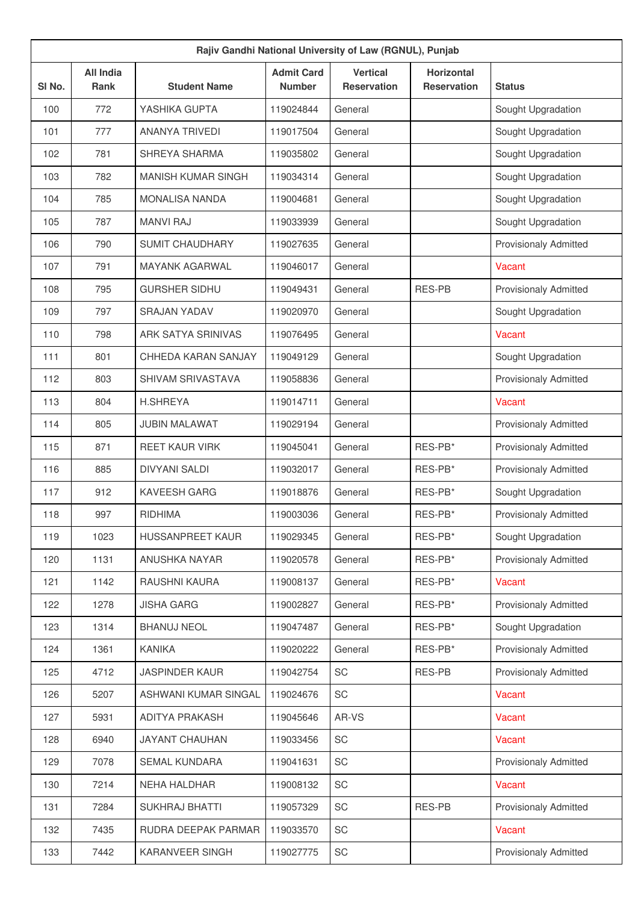| Rajiv Gandhi National University of Law (RGNUL), Punjab |                                 |                           |                                    |                                       |                                         |                              |  |  |
|---------------------------------------------------------|---------------------------------|---------------------------|------------------------------------|---------------------------------------|-----------------------------------------|------------------------------|--|--|
| SI No.                                                  | <b>All India</b><br><b>Rank</b> | <b>Student Name</b>       | <b>Admit Card</b><br><b>Number</b> | <b>Vertical</b><br><b>Reservation</b> | <b>Horizontal</b><br><b>Reservation</b> | <b>Status</b>                |  |  |
| 100                                                     | 772                             | YASHIKA GUPTA             | 119024844                          | General                               |                                         | Sought Upgradation           |  |  |
| 101                                                     | 777                             | <b>ANANYA TRIVEDI</b>     | 119017504                          | General                               |                                         | Sought Upgradation           |  |  |
| 102                                                     | 781                             | SHREYA SHARMA             | 119035802                          | General                               |                                         | Sought Upgradation           |  |  |
| 103                                                     | 782                             | <b>MANISH KUMAR SINGH</b> | 119034314                          | General                               |                                         | Sought Upgradation           |  |  |
| 104                                                     | 785                             | <b>MONALISA NANDA</b>     | 119004681                          | General                               |                                         | Sought Upgradation           |  |  |
| 105                                                     | 787                             | <b>MANVI RAJ</b>          | 119033939                          | General                               |                                         | Sought Upgradation           |  |  |
| 106                                                     | 790                             | <b>SUMIT CHAUDHARY</b>    | 119027635                          | General                               |                                         | Provisionaly Admitted        |  |  |
| 107                                                     | 791                             | <b>MAYANK AGARWAL</b>     | 119046017                          | General                               |                                         | Vacant                       |  |  |
| 108                                                     | 795                             | <b>GURSHER SIDHU</b>      | 119049431                          | General                               | <b>RES-PB</b>                           | <b>Provisionaly Admitted</b> |  |  |
| 109                                                     | 797                             | <b>SRAJAN YADAV</b>       | 119020970                          | General                               |                                         | Sought Upgradation           |  |  |
| 110                                                     | 798                             | ARK SATYA SRINIVAS        | 119076495                          | General                               |                                         | Vacant                       |  |  |
| 111                                                     | 801                             | CHHEDA KARAN SANJAY       | 119049129                          | General                               |                                         | Sought Upgradation           |  |  |
| 112                                                     | 803                             | SHIVAM SRIVASTAVA         | 119058836                          | General                               |                                         | <b>Provisionaly Admitted</b> |  |  |
| 113                                                     | 804                             | <b>H.SHREYA</b>           | 119014711                          | General                               |                                         | Vacant                       |  |  |
| 114                                                     | 805                             | <b>JUBIN MALAWAT</b>      | 119029194                          | General                               |                                         | <b>Provisionaly Admitted</b> |  |  |
| 115                                                     | 871                             | <b>REET KAUR VIRK</b>     | 119045041                          | General                               | RES-PB*                                 | <b>Provisionaly Admitted</b> |  |  |
| 116                                                     | 885                             | <b>DIVYANI SALDI</b>      | 119032017                          | General                               | RES-PB*                                 | <b>Provisionaly Admitted</b> |  |  |
| 117                                                     | 912                             | <b>KAVEESH GARG</b>       | 119018876                          | General                               | RES-PB*                                 | Sought Upgradation           |  |  |
| 118                                                     | 997                             | <b>RIDHIMA</b>            | 119003036                          | General                               | RES-PB*                                 | <b>Provisionaly Admitted</b> |  |  |
| 119                                                     | 1023                            | HUSSANPREET KAUR          | 119029345                          | General                               | RES-PB*                                 | Sought Upgradation           |  |  |
| 120                                                     | 1131                            | ANUSHKA NAYAR             | 119020578                          | General                               | RES-PB*                                 | <b>Provisionaly Admitted</b> |  |  |
| 121                                                     | 1142                            | RAUSHNI KAURA             | 119008137                          | General                               | RES-PB*                                 | Vacant                       |  |  |
| 122                                                     | 1278                            | <b>JISHA GARG</b>         | 119002827                          | General                               | RES-PB*                                 | <b>Provisionaly Admitted</b> |  |  |
| 123                                                     | 1314                            | <b>BHANUJ NEOL</b>        | 119047487                          | General                               | RES-PB*                                 | Sought Upgradation           |  |  |
| 124                                                     | 1361                            | <b>KANIKA</b>             | 119020222                          | General                               | RES-PB*                                 | <b>Provisionaly Admitted</b> |  |  |
| 125                                                     | 4712                            | <b>JASPINDER KAUR</b>     | 119042754                          | SC                                    | RES-PB                                  | <b>Provisionaly Admitted</b> |  |  |
| 126                                                     | 5207                            | ASHWANI KUMAR SINGAL      | 119024676                          | SC                                    |                                         | Vacant                       |  |  |
| 127                                                     | 5931                            | ADITYA PRAKASH            | 119045646                          | AR-VS                                 |                                         | Vacant                       |  |  |
| 128                                                     | 6940                            | <b>JAYANT CHAUHAN</b>     | 119033456                          | SC                                    |                                         | Vacant                       |  |  |
| 129                                                     | 7078                            | SEMAL KUNDARA             | 119041631                          | SC                                    |                                         | <b>Provisionaly Admitted</b> |  |  |
| 130                                                     | 7214                            | NEHA HALDHAR              | 119008132                          | SC                                    |                                         | Vacant                       |  |  |
| 131                                                     | 7284                            | <b>SUKHRAJ BHATTI</b>     | 119057329                          | SC                                    | RES-PB                                  | <b>Provisionaly Admitted</b> |  |  |
| 132                                                     | 7435                            | RUDRA DEEPAK PARMAR       | 119033570                          | SC                                    |                                         | Vacant                       |  |  |
| 133                                                     | 7442                            | KARANVEER SINGH           | 119027775                          | SC                                    |                                         | <b>Provisionaly Admitted</b> |  |  |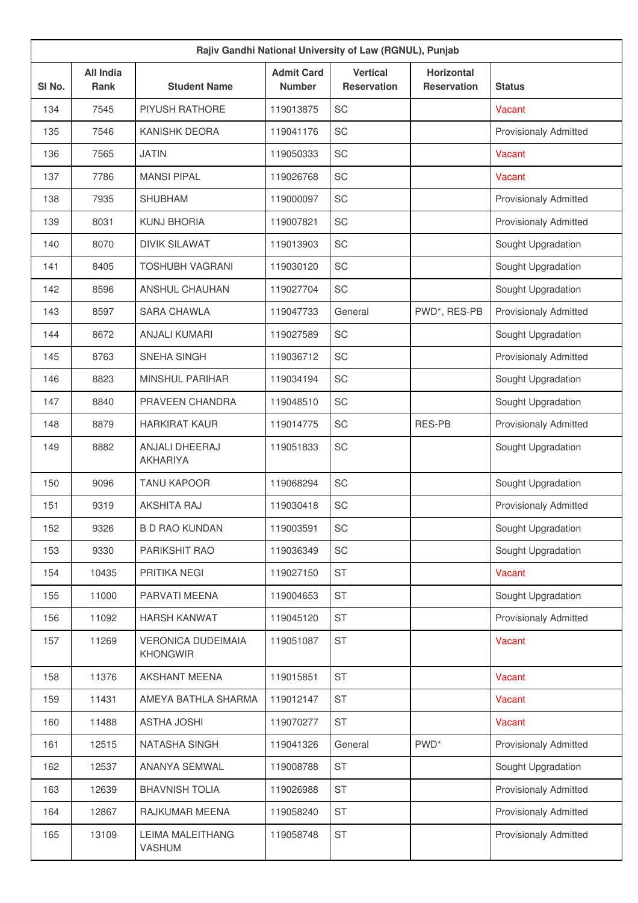| Rajiv Gandhi National University of Law (RGNUL), Punjab |                                 |                                              |                                    |                                       |                                         |                              |  |  |
|---------------------------------------------------------|---------------------------------|----------------------------------------------|------------------------------------|---------------------------------------|-----------------------------------------|------------------------------|--|--|
| SI No.                                                  | <b>All India</b><br><b>Rank</b> | <b>Student Name</b>                          | <b>Admit Card</b><br><b>Number</b> | <b>Vertical</b><br><b>Reservation</b> | <b>Horizontal</b><br><b>Reservation</b> | <b>Status</b>                |  |  |
| 134                                                     | 7545                            | <b>PIYUSH RATHORE</b>                        | 119013875                          | SC                                    |                                         | Vacant                       |  |  |
| 135                                                     | 7546                            | KANISHK DEORA                                | 119041176                          | SC                                    |                                         | <b>Provisionaly Admitted</b> |  |  |
| 136                                                     | 7565                            | <b>JATIN</b>                                 | 119050333                          | <b>SC</b>                             |                                         | Vacant                       |  |  |
| 137                                                     | 7786                            | <b>MANSI PIPAL</b>                           | 119026768                          | SC                                    |                                         | Vacant                       |  |  |
| 138                                                     | 7935                            | <b>SHUBHAM</b>                               | 119000097                          | SC                                    |                                         | <b>Provisionaly Admitted</b> |  |  |
| 139                                                     | 8031                            | <b>KUNJ BHORIA</b>                           | 119007821                          | SC                                    |                                         | <b>Provisionaly Admitted</b> |  |  |
| 140                                                     | 8070                            | <b>DIVIK SILAWAT</b>                         | 119013903                          | <b>SC</b>                             |                                         | Sought Upgradation           |  |  |
| 141                                                     | 8405                            | <b>TOSHUBH VAGRANI</b>                       | 119030120                          | SC                                    |                                         | Sought Upgradation           |  |  |
| 142                                                     | 8596                            | ANSHUL CHAUHAN                               | 119027704                          | SC                                    |                                         | Sought Upgradation           |  |  |
| 143                                                     | 8597                            | <b>SARA CHAWLA</b>                           | 119047733                          | General                               | PWD*, RES-PB                            | <b>Provisionaly Admitted</b> |  |  |
| 144                                                     | 8672                            | <b>ANJALI KUMARI</b>                         | 119027589                          | <b>SC</b>                             |                                         | Sought Upgradation           |  |  |
| 145                                                     | 8763                            | SNEHA SINGH                                  | 119036712                          | SC                                    |                                         | <b>Provisionaly Admitted</b> |  |  |
| 146                                                     | 8823                            | <b>MINSHUL PARIHAR</b>                       | 119034194                          | <b>SC</b>                             |                                         | Sought Upgradation           |  |  |
| 147                                                     | 8840                            | PRAVEEN CHANDRA                              | 119048510                          | SC                                    |                                         | Sought Upgradation           |  |  |
| 148                                                     | 8879                            | <b>HARKIRAT KAUR</b>                         | 119014775                          | <b>SC</b>                             | RES-PB                                  | <b>Provisionaly Admitted</b> |  |  |
| 149                                                     | 8882                            | ANJALI DHEERAJ<br><b>AKHARIYA</b>            | 119051833                          | SC                                    |                                         | Sought Upgradation           |  |  |
| 150                                                     | 9096                            | <b>TANU KAPOOR</b>                           | 119068294                          | SC                                    |                                         | Sought Upgradation           |  |  |
| 151                                                     | 9319                            | <b>AKSHITA RAJ</b>                           | 119030418                          | SC                                    |                                         | <b>Provisionaly Admitted</b> |  |  |
| 152                                                     | 9326                            | <b>B D RAO KUNDAN</b>                        | 119003591                          | SC                                    |                                         | Sought Upgradation           |  |  |
| 153                                                     | 9330                            | PARIKSHIT RAO                                | 119036349                          | SC                                    |                                         | Sought Upgradation           |  |  |
| 154                                                     | 10435                           | PRITIKA NEGI                                 | 119027150                          | <b>ST</b>                             |                                         | Vacant                       |  |  |
| 155                                                     | 11000                           | PARVATI MEENA                                | 119004653                          | <b>ST</b>                             |                                         | Sought Upgradation           |  |  |
| 156                                                     | 11092                           | <b>HARSH KANWAT</b>                          | 119045120                          | <b>ST</b>                             |                                         | Provisionaly Admitted        |  |  |
| 157                                                     | 11269                           | <b>VERONICA DUDEIMAIA</b><br><b>KHONGWIR</b> | 119051087                          | <b>ST</b>                             |                                         | Vacant                       |  |  |
| 158                                                     | 11376                           | <b>AKSHANT MEENA</b>                         | 119015851                          | <b>ST</b>                             |                                         | Vacant                       |  |  |
| 159                                                     | 11431                           | AMEYA BATHLA SHARMA                          | 119012147                          | <b>ST</b>                             |                                         | Vacant                       |  |  |
| 160                                                     | 11488                           | <b>ASTHA JOSHI</b>                           | 119070277                          | <b>ST</b>                             |                                         | Vacant                       |  |  |
| 161                                                     | 12515                           | NATASHA SINGH                                | 119041326                          | General                               | PWD <sup>*</sup>                        | Provisionaly Admitted        |  |  |
| 162                                                     | 12537                           | ANANYA SEMWAL                                | 119008788                          | <b>ST</b>                             |                                         | Sought Upgradation           |  |  |
| 163                                                     | 12639                           | <b>BHAVNISH TOLIA</b>                        | 119026988                          | <b>ST</b>                             |                                         | Provisionaly Admitted        |  |  |
| 164                                                     | 12867                           | RAJKUMAR MEENA                               | 119058240                          | ST                                    |                                         | Provisionaly Admitted        |  |  |
| 165                                                     | 13109                           | <b>LEIMA MALEITHANG</b><br>VASHUM            | 119058748                          | <b>ST</b>                             |                                         | Provisionaly Admitted        |  |  |